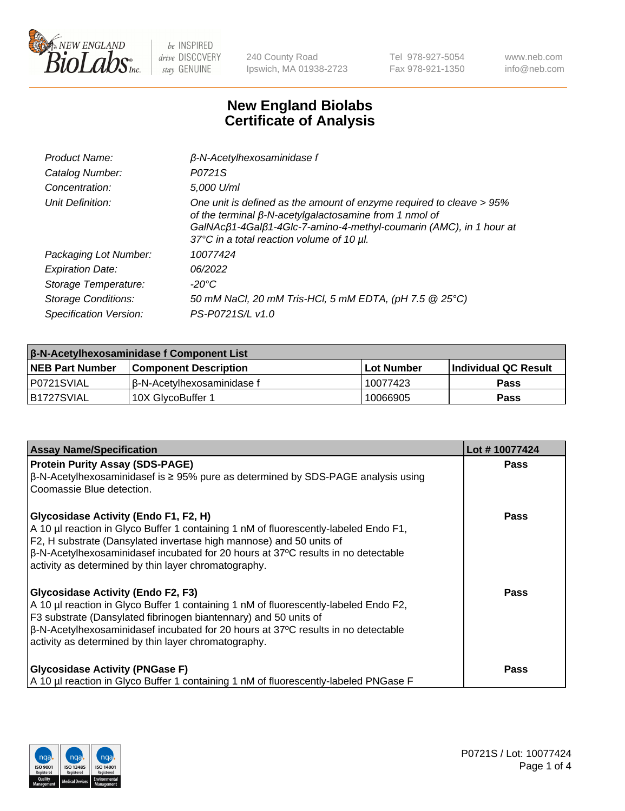

240 County Road Ipswich, MA 01938-2723 Tel 978-927-5054 Fax 978-921-1350 www.neb.com info@neb.com

## **New England Biolabs Certificate of Analysis**

| Product Name:              | $\beta$ -N-Acetylhexosaminidase f                                                                                                                                                                                                                        |
|----------------------------|----------------------------------------------------------------------------------------------------------------------------------------------------------------------------------------------------------------------------------------------------------|
| Catalog Number:            | P0721S                                                                                                                                                                                                                                                   |
| Concentration:             | 5,000 U/ml                                                                                                                                                                                                                                               |
| Unit Definition:           | One unit is defined as the amount of enzyme required to cleave > 95%<br>of the terminal $\beta$ -N-acetylgalactosamine from 1 nmol of<br>GalNAcß1-4Galß1-4Glc-7-amino-4-methyl-coumarin (AMC), in 1 hour at<br>37°C in a total reaction volume of 10 µl. |
| Packaging Lot Number:      | 10077424                                                                                                                                                                                                                                                 |
| <b>Expiration Date:</b>    | 06/2022                                                                                                                                                                                                                                                  |
| Storage Temperature:       | -20°C                                                                                                                                                                                                                                                    |
| <b>Storage Conditions:</b> | 50 mM NaCl, 20 mM Tris-HCl, 5 mM EDTA, (pH 7.5 @ 25°C)                                                                                                                                                                                                   |
| Specification Version:     | PS-P0721S/L v1.0                                                                                                                                                                                                                                         |

| <b>β-N-Acetylhexosaminidase f Component List</b> |                              |             |                             |  |  |
|--------------------------------------------------|------------------------------|-------------|-----------------------------|--|--|
| <b>NEB Part Number</b>                           | <b>Component Description</b> | ⊺Lot Number | <b>Individual QC Result</b> |  |  |
| IP0721SVIAL                                      | l β-N-Acetvlhexosaminidase f | 10077423    | Pass                        |  |  |
| IB1727SVIAL                                      | 10X GlvcoBuffer 1            | 10066905    | <b>Pass</b>                 |  |  |

| <b>Assay Name/Specification</b>                                                                                                                             | Lot #10077424 |
|-------------------------------------------------------------------------------------------------------------------------------------------------------------|---------------|
| <b>Protein Purity Assay (SDS-PAGE)</b>                                                                                                                      | <b>Pass</b>   |
| $\beta$ -N-Acetylhexosaminidasef is ≥ 95% pure as determined by SDS-PAGE analysis using<br>Coomassie Blue detection.                                        |               |
| Glycosidase Activity (Endo F1, F2, H)                                                                                                                       | <b>Pass</b>   |
| A 10 µl reaction in Glyco Buffer 1 containing 1 nM of fluorescently-labeled Endo F1,<br>F2, H substrate (Dansylated invertase high mannose) and 50 units of |               |
| $\beta$ -N-Acetylhexosaminidasef incubated for 20 hours at 37°C results in no detectable                                                                    |               |
| activity as determined by thin layer chromatography.                                                                                                        |               |
| <b>Glycosidase Activity (Endo F2, F3)</b>                                                                                                                   | <b>Pass</b>   |
| A 10 µl reaction in Glyco Buffer 1 containing 1 nM of fluorescently-labeled Endo F2,<br>F3 substrate (Dansylated fibrinogen biantennary) and 50 units of    |               |
| $\beta$ -N-Acetylhexosaminidasef incubated for 20 hours at 37°C results in no detectable                                                                    |               |
| activity as determined by thin layer chromatography.                                                                                                        |               |
| <b>Glycosidase Activity (PNGase F)</b>                                                                                                                      | Pass          |
| A 10 µl reaction in Glyco Buffer 1 containing 1 nM of fluorescently-labeled PNGase F                                                                        |               |

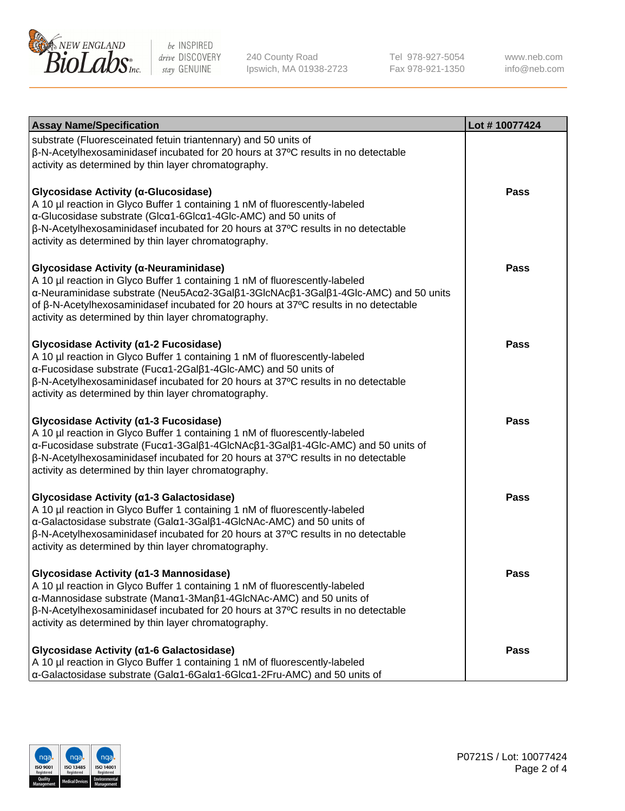

240 County Road Ipswich, MA 01938-2723 Tel 978-927-5054 Fax 978-921-1350 www.neb.com info@neb.com

| <b>Assay Name/Specification</b>                                                                                                                                                                                                                                                                                                                             | Lot #10077424 |
|-------------------------------------------------------------------------------------------------------------------------------------------------------------------------------------------------------------------------------------------------------------------------------------------------------------------------------------------------------------|---------------|
| substrate (Fluoresceinated fetuin triantennary) and 50 units of<br>β-N-Acetylhexosaminidasef incubated for 20 hours at 37°C results in no detectable<br>activity as determined by thin layer chromatography.                                                                                                                                                |               |
| Glycosidase Activity (α-Glucosidase)<br>A 10 µl reaction in Glyco Buffer 1 containing 1 nM of fluorescently-labeled<br>α-Glucosidase substrate (Glcα1-6Glcα1-4Glc-AMC) and 50 units of<br>β-N-Acetylhexosaminidasef incubated for 20 hours at 37°C results in no detectable<br>activity as determined by thin layer chromatography.                         | Pass          |
| Glycosidase Activity (α-Neuraminidase)<br>A 10 µl reaction in Glyco Buffer 1 containing 1 nM of fluorescently-labeled<br>α-Neuraminidase substrate (Neu5Acα2-3Galβ1-3GlcNAcβ1-3Galβ1-4Glc-AMC) and 50 units<br>of β-N-Acetylhexosaminidasef incubated for 20 hours at 37°C results in no detectable<br>activity as determined by thin layer chromatography. | Pass          |
| Glycosidase Activity (α1-2 Fucosidase)<br>A 10 µl reaction in Glyco Buffer 1 containing 1 nM of fluorescently-labeled<br>α-Fucosidase substrate (Fucα1-2Galβ1-4Glc-AMC) and 50 units of<br>$\beta$ -N-Acetylhexosaminidasef incubated for 20 hours at 37 $\degree$ C results in no detectable<br>activity as determined by thin layer chromatography.       | Pass          |
| Glycosidase Activity (α1-3 Fucosidase)<br>A 10 µl reaction in Glyco Buffer 1 containing 1 nM of fluorescently-labeled<br>α-Fucosidase substrate (Fucα1-3Galβ1-4GlcNAcβ1-3Galβ1-4Glc-AMC) and 50 units of<br>β-N-Acetylhexosaminidasef incubated for 20 hours at 37°C results in no detectable<br>activity as determined by thin layer chromatography.       | <b>Pass</b>   |
| Glycosidase Activity (α1-3 Galactosidase)<br>A 10 µl reaction in Glyco Buffer 1 containing 1 nM of fluorescently-labeled<br>α-Galactosidase substrate (Galα1-3Galβ1-4GlcNAc-AMC) and 50 units of<br>β-N-Acetylhexosaminidasef incubated for 20 hours at 37°C results in no detectable<br>activity as determined by thin layer chromatography.               | <b>Pass</b>   |
| Glycosidase Activity (a1-3 Mannosidase)<br>A 10 µl reaction in Glyco Buffer 1 containing 1 nM of fluorescently-labeled<br>α-Mannosidase substrate (Manα1-3Manβ1-4GlcNAc-AMC) and 50 units of<br>$\beta$ -N-Acetylhexosaminidasef incubated for 20 hours at 37 $\degree$ C results in no detectable<br>activity as determined by thin layer chromatography.  | <b>Pass</b>   |
| Glycosidase Activity (α1-6 Galactosidase)<br>A 10 µl reaction in Glyco Buffer 1 containing 1 nM of fluorescently-labeled<br>α-Galactosidase substrate (Galα1-6Galα1-6Glcα1-2Fru-AMC) and 50 units of                                                                                                                                                        | Pass          |

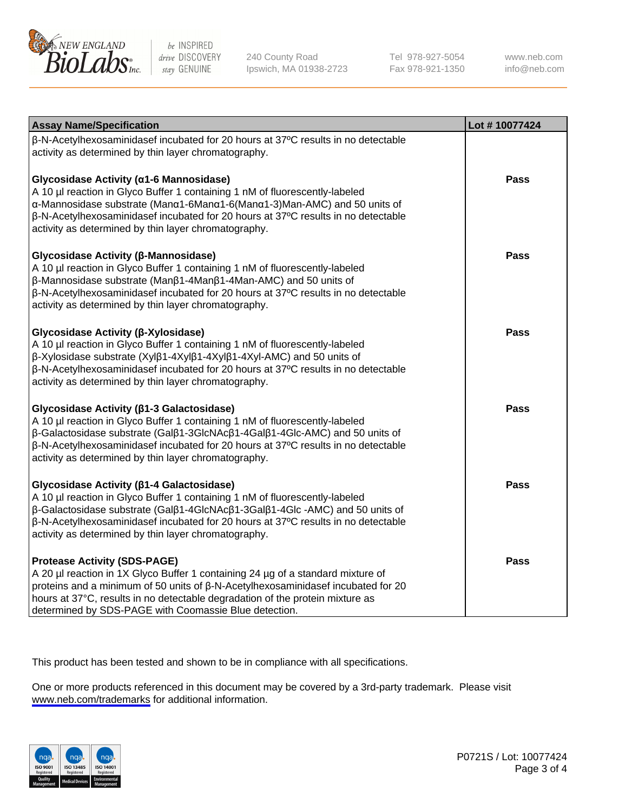

240 County Road Ipswich, MA 01938-2723 Tel 978-927-5054 Fax 978-921-1350

www.neb.com info@neb.com

| <b>Assay Name/Specification</b>                                                                                                                                                                                                                                                                                                                               | Lot #10077424 |
|---------------------------------------------------------------------------------------------------------------------------------------------------------------------------------------------------------------------------------------------------------------------------------------------------------------------------------------------------------------|---------------|
| β-N-Acetylhexosaminidasef incubated for 20 hours at 37°C results in no detectable<br>activity as determined by thin layer chromatography.                                                                                                                                                                                                                     |               |
| Glycosidase Activity (α1-6 Mannosidase)<br>A 10 µl reaction in Glyco Buffer 1 containing 1 nM of fluorescently-labeled<br>α-Mannosidase substrate (Manα1-6Manα1-6(Manα1-3)Man-AMC) and 50 units of<br>β-N-Acetylhexosaminidasef incubated for 20 hours at 37°C results in no detectable<br>activity as determined by thin layer chromatography.               | <b>Pass</b>   |
| Glycosidase Activity (β-Mannosidase)<br>A 10 µl reaction in Glyco Buffer 1 containing 1 nM of fluorescently-labeled<br>β-Mannosidase substrate (Manβ1-4Manβ1-4Man-AMC) and 50 units of<br>β-N-Acetylhexosaminidasef incubated for 20 hours at 37°C results in no detectable<br>activity as determined by thin layer chromatography.                           | <b>Pass</b>   |
| Glycosidase Activity (β-Xylosidase)<br>A 10 µl reaction in Glyco Buffer 1 containing 1 nM of fluorescently-labeled<br>β-Xylosidase substrate (Xylβ1-4Xylβ1-4Xylβ1-4Xyl-AMC) and 50 units of<br>β-N-Acetylhexosaminidasef incubated for 20 hours at 37°C results in no detectable<br>activity as determined by thin layer chromatography.                      | <b>Pass</b>   |
| Glycosidase Activity ( $\beta$ 1-3 Galactosidase)<br>A 10 µl reaction in Glyco Buffer 1 containing 1 nM of fluorescently-labeled<br>β-Galactosidase substrate (Galβ1-3GlcNAcβ1-4Galβ1-4Glc-AMC) and 50 units of<br>β-N-Acetylhexosaminidasef incubated for 20 hours at 37°C results in no detectable<br>activity as determined by thin layer chromatography.  | <b>Pass</b>   |
| Glycosidase Activity ( $\beta$ 1-4 Galactosidase)<br>A 10 µl reaction in Glyco Buffer 1 containing 1 nM of fluorescently-labeled<br>β-Galactosidase substrate (Galβ1-4GlcNAcβ1-3Galβ1-4Glc -AMC) and 50 units of<br>β-N-Acetylhexosaminidasef incubated for 20 hours at 37°C results in no detectable<br>activity as determined by thin layer chromatography. | <b>Pass</b>   |
| <b>Protease Activity (SDS-PAGE)</b><br>A 20 µl reaction in 1X Glyco Buffer 1 containing 24 µg of a standard mixture of<br>proteins and a minimum of 50 units of $\beta$ -N-Acetylhexosaminidasef incubated for 20<br>hours at 37°C, results in no detectable degradation of the protein mixture as<br>determined by SDS-PAGE with Coomassie Blue detection.   | <b>Pass</b>   |

This product has been tested and shown to be in compliance with all specifications.

One or more products referenced in this document may be covered by a 3rd-party trademark. Please visit <www.neb.com/trademarks>for additional information.